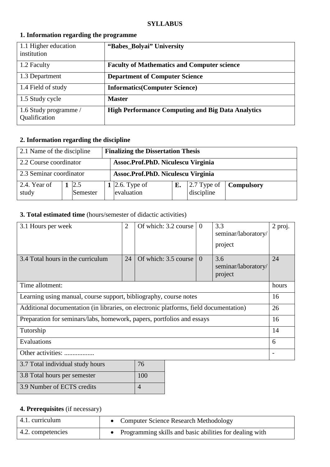#### **SYLLABUS**

| 1.1 Higher education<br>institution    | "Babes_Bolyai" University                                |
|----------------------------------------|----------------------------------------------------------|
| 1.2 Faculty                            | <b>Faculty of Mathematics and Computer science</b>       |
| 1.3 Department                         | <b>Department of Computer Science</b>                    |
| 1.4 Field of study                     | <b>Informatics(Computer Science)</b>                     |
| 1.5 Study cycle                        | <b>Master</b>                                            |
| 1.6 Study programme /<br>Qualification | <b>High Performance Computing and Big Data Analytics</b> |

### **1. Information regarding the programme**

## **2. Information regarding the discipline**

|                         | 2.1 Name of the discipline<br><b>Finalizing the Dissertation Thesis</b> |                 |                                    |                                    |    |                                   |                   |
|-------------------------|-------------------------------------------------------------------------|-----------------|------------------------------------|------------------------------------|----|-----------------------------------|-------------------|
| 2.2 Course coordinator  |                                                                         |                 | Assoc.Prof.PhD. Niculescu Virginia |                                    |    |                                   |                   |
| 2.3 Seminar coordinator |                                                                         |                 |                                    | Assoc.Prof.PhD. Niculescu Virginia |    |                                   |                   |
| 2.4. Year of<br>study   |                                                                         | 2.5<br>Semester |                                    | 1 2.6. Type of<br>evaluation       | Е. | $\vert$ 2.7 Type of<br>discipline | <b>Compulsory</b> |

### **3. Total estimated time** (hours/semester of didactic activities)

| 3.1 Hours per week                                                                    | $\overline{2}$ | Of which: 3.2 course | $\theta$ | 3.3<br>seminar/laboratory/<br>project | 2 proj. |
|---------------------------------------------------------------------------------------|----------------|----------------------|----------|---------------------------------------|---------|
| 3.4 Total hours in the curriculum                                                     | 24             | Of which: 3.5 course | $\Omega$ | 3.6<br>seminar/laboratory/<br>project | 24      |
| Time allotment:                                                                       |                |                      |          |                                       | hours   |
| Learning using manual, course support, bibliography, course notes                     |                |                      |          |                                       | 16      |
| Additional documentation (in libraries, on electronic platforms, field documentation) |                |                      |          |                                       | 26      |
| Preparation for seminars/labs, homework, papers, portfolios and essays                |                |                      |          |                                       | 16      |
| Tutorship                                                                             |                |                      |          |                                       | 14      |
| Evaluations                                                                           |                |                      |          |                                       | 6       |
| Other activities:                                                                     |                |                      |          |                                       |         |
| 3.7 Total individual study hours                                                      |                | 76                   |          |                                       |         |
| 3.8 Total hours per semester                                                          |                | 100                  |          |                                       |         |

### **4. Prerequisites** (if necessary)

3.9 Number of ECTS credits 4

| 4.1. curriculum   | <b>Computer Science Research Methodology</b>            |
|-------------------|---------------------------------------------------------|
| 4.2. competencies | Programming skills and basic abilities for dealing with |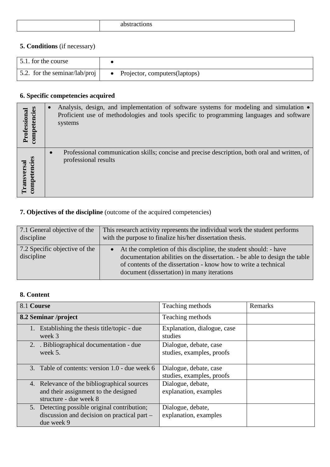|--|

## **5. Conditions** (if necessary)

| 5.1. for the course           |                                  |
|-------------------------------|----------------------------------|
| 5.2. for the seminar/lab/proj | • Projector, computers (laptops) |

## **6. Specific competencies acquired**

| Professional<br>competencies                 | Analysis, design, and implementation of software systems for modeling and simulation •<br>Proficient use of methodologies and tools specific to programming languages and software<br>systems |
|----------------------------------------------|-----------------------------------------------------------------------------------------------------------------------------------------------------------------------------------------------|
| tencies<br><b>Transversal</b><br>competencie | Professional communication skills; concise and precise description, both oral and written, of<br>$\bullet$<br>professional results                                                            |

# **7. Objectives of the discipline** (outcome of the acquired competencies)

| 7.1 General objective of the                | This research activity represents the individual work the student performs                                                                                                                                                                                      |
|---------------------------------------------|-----------------------------------------------------------------------------------------------------------------------------------------------------------------------------------------------------------------------------------------------------------------|
| discipline                                  | with the purpose to finalize his/her dissertation thesis.                                                                                                                                                                                                       |
| 7.2 Specific objective of the<br>discipline | At the completion of this discipline, the student should: - have<br>documentation abilities on the dissertation. - be able to design the table<br>of contents of the dissertation - know how to write a technical<br>document (dissertation) in many iterations |

## **8. Content**

| 8.1 Course                                                                                                    | Teaching methods                                    | Remarks |
|---------------------------------------------------------------------------------------------------------------|-----------------------------------------------------|---------|
| 8.2 Seminar /project                                                                                          | Teaching methods                                    |         |
| 1. Establishing the thesis title/topic - due<br>week 3                                                        | Explanation, dialogue, case<br>studies              |         |
| 2. Bibliographical documentation - due<br>week 5.                                                             | Dialogue, debate, case<br>studies, examples, proofs |         |
| 3. Table of contents: version 1.0 - due week 6                                                                | Dialogue, debate, case<br>studies, examples, proofs |         |
| 4. Relevance of the bibliographical sources<br>and their assignment to the designed<br>structure - due week 8 | Dialogue, debate,<br>explanation, examples          |         |
| 5. Detecting possible original contribution;<br>discussion and decision on practical part –<br>due week 9     | Dialogue, debate,<br>explanation, examples          |         |